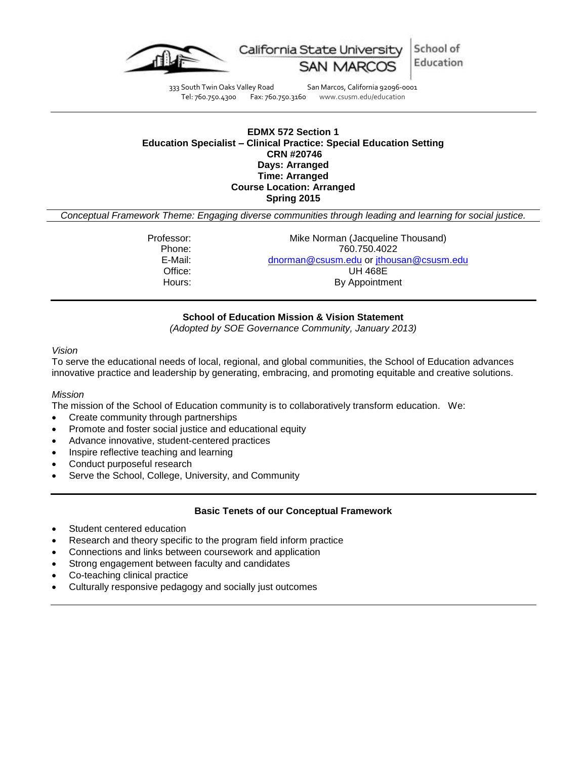

School of California State University Education

333 South Twin Oaks Valley Road San Marcos, California 92096-0001<br>Tel: 760.750.4300 Fax: 760.750.3160 www.csusm.edu/education Tel: 760.750.4300 Fax: 760.750.3160 www.csusm.edu/education

### **EDMX 572 Section 1 Education Specialist – Clinical Practice: Special Education Setting CRN #20746 Days: Arranged Time: Arranged Course Location: Arranged Spring 2015**

*Conceptual Framework Theme: Engaging diverse communities through leading and learning for social justice.*

| Professor: | Mike Norman (Jacqueline Thousand)       |  |  |  |
|------------|-----------------------------------------|--|--|--|
| Phone:     | 760.750.4022                            |  |  |  |
| E-Mail:    | dnorman@csusm.edu or jthousan@csusm.edu |  |  |  |
| Office:    | <b>UH 468E</b>                          |  |  |  |
| Hours:     | By Appointment                          |  |  |  |
|            |                                         |  |  |  |

### **School of Education Mission & Vision Statement**

*(Adopted by SOE Governance Community, January 2013)*

### *Vision*

To serve the educational needs of local, regional, and global communities, the School of Education advances innovative practice and leadership by generating, embracing, and promoting equitable and creative solutions.

### *Mission*

The mission of the School of Education community is to collaboratively transform education. We:

- Create community through partnerships
- Promote and foster social justice and educational equity
- Advance innovative, student-centered practices
- Inspire reflective teaching and learning
- Conduct purposeful research
- Serve the School, College, University, and Community

### **Basic Tenets of our Conceptual Framework**

- Student centered education
- Research and theory specific to the program field inform practice
- Connections and links between coursework and application
- Strong engagement between faculty and candidates
- Co-teaching clinical practice
- Culturally responsive pedagogy and socially just outcomes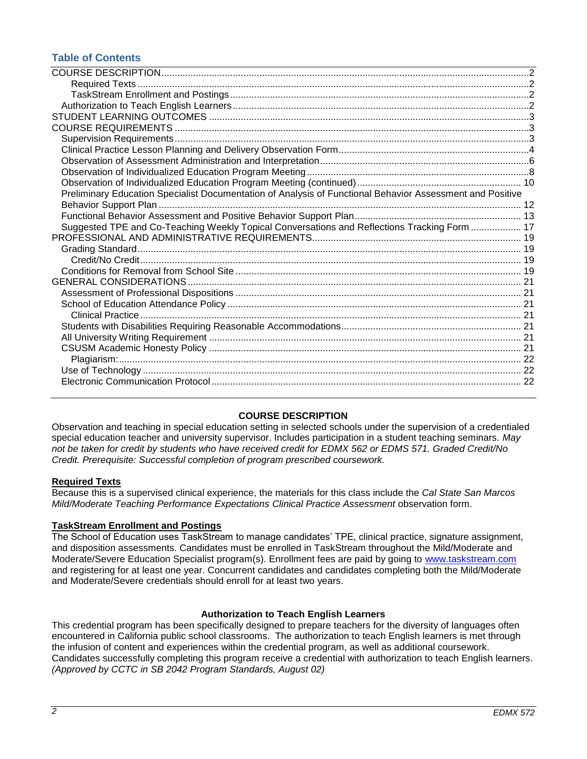## **Table of Contents**

| Preliminary Education Specialist Documentation of Analysis of Functional Behavior Assessment and Positive |  |
|-----------------------------------------------------------------------------------------------------------|--|
|                                                                                                           |  |
|                                                                                                           |  |
| Suggested TPE and Co-Teaching Weekly Topical Conversations and Reflections Tracking Form  17              |  |
|                                                                                                           |  |
|                                                                                                           |  |
|                                                                                                           |  |
|                                                                                                           |  |
|                                                                                                           |  |
|                                                                                                           |  |
|                                                                                                           |  |
|                                                                                                           |  |
|                                                                                                           |  |
|                                                                                                           |  |
|                                                                                                           |  |
|                                                                                                           |  |
|                                                                                                           |  |
|                                                                                                           |  |
|                                                                                                           |  |

### **COURSE DESCRIPTION**

<span id="page-1-0"></span>Observation and teaching in special education setting in selected schools under the supervision of a credentialed special education teacher and university supervisor. Includes participation in a student teaching seminars. *May not be taken for credit by students who have received credit for EDMX 562 or EDMS 571. Graded Credit/No Credit. Prerequisite: Successful completion of program prescribed coursework.*

### <span id="page-1-1"></span>**Required Texts**

Because this is a supervised clinical experience, the materials for this class include the *Cal State San Marcos Mild/Moderate Teaching Performance Expectations Clinical Practice Assessment* observation form.

### <span id="page-1-2"></span>**TaskStream Enrollment and Postings**

The School of Education uses TaskStream to manage candidates' TPE, clinical practice, signature assignment, and disposition assessments. Candidates must be enrolled in TaskStream throughout the Mild/Moderate and Moderate/Severe Education Specialist program(s). Enrollment fees are paid by going to [www.taskstream.com](http://www.taskstrem.com/) and registering for at least one year. Concurrent candidates and candidates completing both the Mild/Moderate and Moderate/Severe credentials should enroll for at least two years.

### **Authorization to Teach English Learners**

<span id="page-1-4"></span><span id="page-1-3"></span>This credential program has been specifically designed to prepare teachers for the diversity of languages often encountered in California public school classrooms. The authorization to teach English learners is met through the infusion of content and experiences within the credential program, as well as additional coursework. Candidates successfully completing this program receive a credential with authorization to teach English learners. *(Approved by CCTC in SB 2042 Program Standards, August 02)*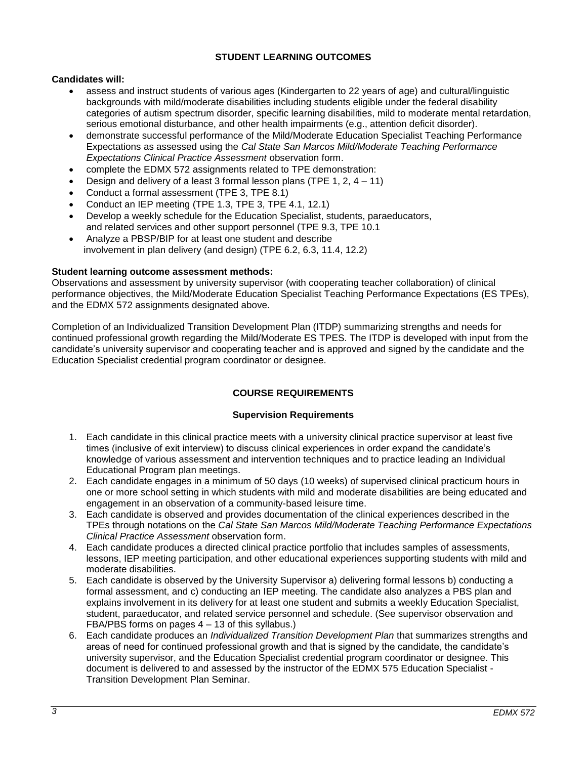### **STUDENT LEARNING OUTCOMES**

### **Candidates will:**

- assess and instruct students of various ages (Kindergarten to 22 years of age) and cultural/linguistic backgrounds with mild/moderate disabilities including students eligible under the federal disability categories of autism spectrum disorder, specific learning disabilities, mild to moderate mental retardation, serious emotional disturbance, and other health impairments (e.g., attention deficit disorder).
- demonstrate successful performance of the Mild/Moderate Education Specialist Teaching Performance Expectations as assessed using the *Cal State San Marcos Mild/Moderate Teaching Performance Expectations Clinical Practice Assessment* observation form.
- complete the EDMX 572 assignments related to TPE demonstration:
- Design and delivery of a least 3 formal lesson plans (TPE 1, 2, 4 11)
- Conduct a formal assessment (TPE 3, TPE 8.1)
- Conduct an IEP meeting (TPE 1.3, TPE 3, TPE 4.1, 12.1)
- Develop a weekly schedule for the Education Specialist, students, paraeducators, and related services and other support personnel (TPE 9.3, TPE 10.1
- Analyze a PBSP/BIP for at least one student and describe involvement in plan delivery (and design) (TPE 6.2, 6.3, 11.4, 12.2)

### **Student learning outcome assessment methods:**

Observations and assessment by university supervisor (with cooperating teacher collaboration) of clinical performance objectives, the Mild/Moderate Education Specialist Teaching Performance Expectations (ES TPEs), and the EDMX 572 assignments designated above.

Completion of an Individualized Transition Development Plan (ITDP) summarizing strengths and needs for continued professional growth regarding the Mild/Moderate ES TPES. The ITDP is developed with input from the candidate's university supervisor and cooperating teacher and is approved and signed by the candidate and the Education Specialist credential program coordinator or designee.

## **COURSE REQUIREMENTS**

### **Supervision Requirements**

- <span id="page-2-1"></span><span id="page-2-0"></span>1. Each candidate in this clinical practice meets with a university clinical practice supervisor at least five times (inclusive of exit interview) to discuss clinical experiences in order expand the candidate's knowledge of various assessment and intervention techniques and to practice leading an Individual Educational Program plan meetings.
- 2. Each candidate engages in a minimum of 50 days (10 weeks) of supervised clinical practicum hours in one or more school setting in which students with mild and moderate disabilities are being educated and engagement in an observation of a community-based leisure time.
- 3. Each candidate is observed and provides documentation of the clinical experiences described in the TPEs through notations on the *Cal State San Marcos Mild/Moderate Teaching Performance Expectations Clinical Practice Assessment* observation form.
- 4. Each candidate produces a directed clinical practice portfolio that includes samples of assessments, lessons, IEP meeting participation, and other educational experiences supporting students with mild and moderate disabilities.
- 5. Each candidate is observed by the University Supervisor a) delivering formal lessons b) conducting a formal assessment, and c) conducting an IEP meeting. The candidate also analyzes a PBS plan and explains involvement in its delivery for at least one student and submits a weekly Education Specialist, student, paraeducator, and related service personnel and schedule. (See supervisor observation and FBA/PBS forms on pages 4 – 13 of this syllabus.)
- 6. Each candidate produces an *Individualized Transition Development Plan* that summarizes strengths and areas of need for continued professional growth and that is signed by the candidate, the candidate's university supervisor, and the Education Specialist credential program coordinator or designee. This document is delivered to and assessed by the instructor of the EDMX 575 Education Specialist - Transition Development Plan Seminar.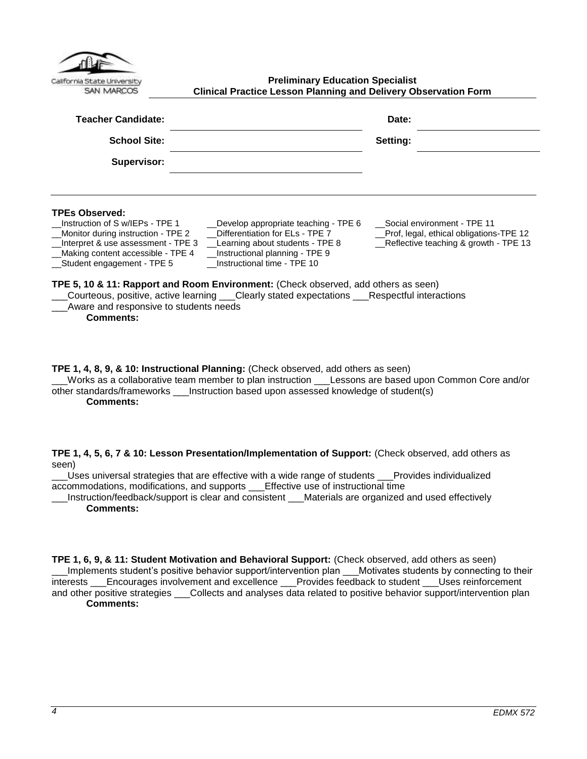| California State University |
|-----------------------------|
| Ξ                           |

<span id="page-3-0"></span>**Preliminary Education Specialist Clinical Practice Lesson Planning and Delivery Observation Form**

| <b>Teacher Candidate:</b>                                                                                                                                                                                                                                                                                                                             | Date:                                                                                    |
|-------------------------------------------------------------------------------------------------------------------------------------------------------------------------------------------------------------------------------------------------------------------------------------------------------------------------------------------------------|------------------------------------------------------------------------------------------|
| <b>School Site:</b>                                                                                                                                                                                                                                                                                                                                   | Setting:                                                                                 |
| Supervisor:                                                                                                                                                                                                                                                                                                                                           |                                                                                          |
| <b>TPEs Observed:</b><br>Instruction of S w/IEPs - TPE 1<br>_Monitor during instruction - TPE 2<br>Differentiation for ELs - TPE 7<br>_Interpret & use assessment - TPE 3<br>Learning about students - TPE 8<br>_Instructional planning - TPE 9<br>__Making content accessible - TPE 4<br>Instructional time - TPE 10<br>__Student engagement - TPE 5 | _Prof, legal, ethical obligations-TPE 12<br>$\Box$ Reflective teaching & growth - TPE 13 |
| TPE 5, 10 & 11: Rapport and Room Environment: (Check observed, add others as seen)<br>Courteous, positive, active learning ___Clearly stated expectations ___Respectful interactions<br>Aware and responsive to students needs<br><b>Comments:</b>                                                                                                    |                                                                                          |
| TPE 1, 4, 8, 9, & 10: Instructional Planning: (Check observed, add others as seen)                                                                                                                                                                                                                                                                    |                                                                                          |

\_\_\_Works as a collaborative team member to plan instruction \_\_\_Lessons are based upon Common Core and/or other standards/frameworks \_\_\_Instruction based upon assessed knowledge of student(s) **Comments:**

**TPE 1, 4, 5, 6, 7 & 10: Lesson Presentation/Implementation of Support:** (Check observed, add others as seen)

Uses universal strategies that are effective with a wide range of students Provides individualized accommodations, modifications, and supports \_\_\_Effective use of instructional time

\_\_\_Instruction/feedback/support is clear and consistent \_\_\_Materials are organized and used effectively **Comments:**

**TPE 1, 6, 9, & 11: Student Motivation and Behavioral Support:** (Check observed, add others as seen) \_\_\_Implements student's positive behavior support/intervention plan \_\_\_Motivates students by connecting to their interests \_\_\_Encourages involvement and excellence \_\_\_Provides feedback to student \_\_\_Uses reinforcement and other positive strategies \_\_\_Collects and analyses data related to positive behavior support/intervention plan **Comments:**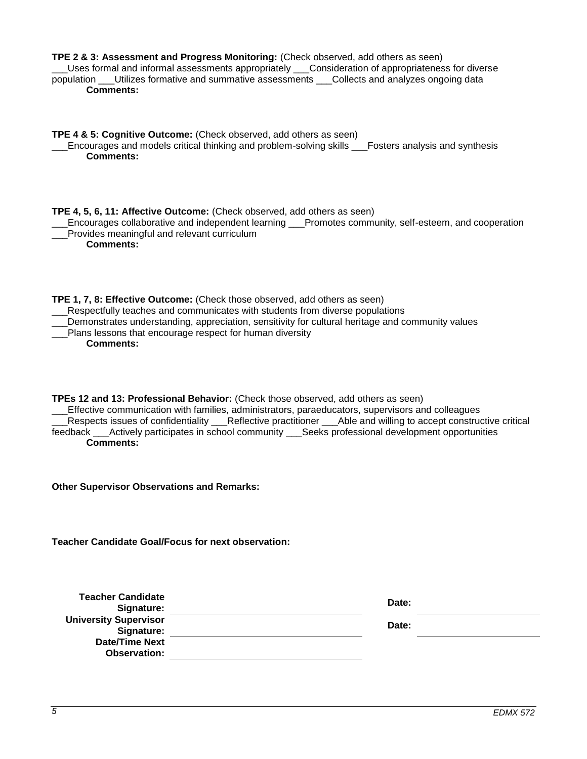| TPE 2 & 3: Assessment and Progress Monitoring: (Check observed, add others as seen)<br>Uses formal and informal assessments appropriately ___Consideration of appropriateness for diverse<br>population ___Utilizes formative and summative assessments ___Collects and analyzes ongoing data<br><b>Comments:</b>                                                                                                                       |       |  |  |  |
|-----------------------------------------------------------------------------------------------------------------------------------------------------------------------------------------------------------------------------------------------------------------------------------------------------------------------------------------------------------------------------------------------------------------------------------------|-------|--|--|--|
| TPE 4 & 5: Cognitive Outcome: (Check observed, add others as seen)<br>Encourages and models critical thinking and problem-solving skills Fosters analysis and synthesis<br><b>Comments:</b>                                                                                                                                                                                                                                             |       |  |  |  |
| TPE 4, 5, 6, 11: Affective Outcome: (Check observed, add others as seen)<br>Encourages collaborative and independent learning ___Promotes community, self-esteem, and cooperation<br>Provides meaningful and relevant curriculum<br><b>Comments:</b>                                                                                                                                                                                    |       |  |  |  |
| TPE 1, 7, 8: Effective Outcome: (Check those observed, add others as seen)<br>__Respectfully teaches and communicates with students from diverse populations<br>Demonstrates understanding, appreciation, sensitivity for cultural heritage and community values<br>Plans lessons that encourage respect for human diversity<br><b>Comments:</b>                                                                                        |       |  |  |  |
| TPEs 12 and 13: Professional Behavior: (Check those observed, add others as seen)<br>Effective communication with families, administrators, paraeducators, supervisors and colleagues<br>Respects issues of confidentiality ___Reflective practitioner ___Able and willing to accept constructive critical<br>feedback ___Actively participates in school community ___Seeks professional development opportunities<br><b>Comments:</b> |       |  |  |  |
| <b>Other Supervisor Observations and Remarks:</b>                                                                                                                                                                                                                                                                                                                                                                                       |       |  |  |  |
| <b>Teacher Candidate Goal/Focus for next observation:</b>                                                                                                                                                                                                                                                                                                                                                                               |       |  |  |  |
| <b>Teacher Candidate</b>                                                                                                                                                                                                                                                                                                                                                                                                                | Date: |  |  |  |
| Signature:<br><b>University Supervisor</b>                                                                                                                                                                                                                                                                                                                                                                                              | Date: |  |  |  |
| Signature:<br><b>Date/Time Next</b>                                                                                                                                                                                                                                                                                                                                                                                                     |       |  |  |  |
| <b>Observation:</b>                                                                                                                                                                                                                                                                                                                                                                                                                     |       |  |  |  |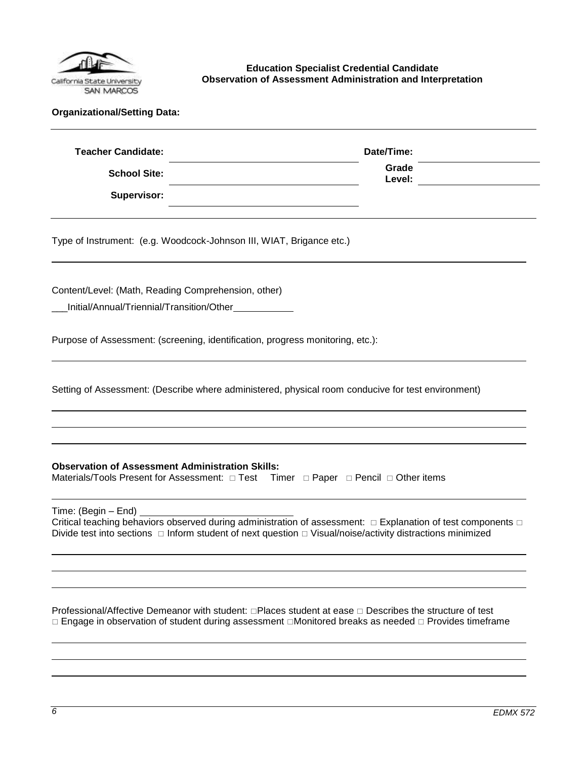

<span id="page-5-0"></span>**Education Specialist Credential Candidate Observation of Assessment Administration and Interpretation**

|  | <b>Organizational/Setting Data:</b> |  |
|--|-------------------------------------|--|
|--|-------------------------------------|--|

| <b>Teacher Candidate:</b> | Date/Time:      |  |
|---------------------------|-----------------|--|
| <b>School Site:</b>       | Grade<br>Level: |  |
| Supervisor:               |                 |  |

Type of Instrument: (e.g. Woodcock-Johnson III, WIAT, Brigance etc.)

Content/Level: (Math, Reading Comprehension, other)

\_\_\_Initial/Annual/Triennial/Transition/Other

Purpose of Assessment: (screening, identification, progress monitoring, etc.):

Setting of Assessment: (Describe where administered, physical room conducive for test environment)

### **Observation of Assessment Administration Skills:**

Materials/Tools Present for Assessment:  $\Box$  Test Timer  $\Box$  Paper  $\Box$  Pencil  $\Box$  Other items

Time: (Begin – End)

Critical teaching behaviors observed during administration of assessment:  $\Box$  Explanation of test components  $\Box$ Divide test into sections  $\Box$  Inform student of next question  $\Box$  Visual/noise/activity distractions minimized

Professional/Affective Demeanor with student:  $\Box$ Places student at ease  $\Box$  Describes the structure of test  $\Box$  Engage in observation of student during assessment  $\Box$ Monitored breaks as needed  $\Box$  Provides timeframe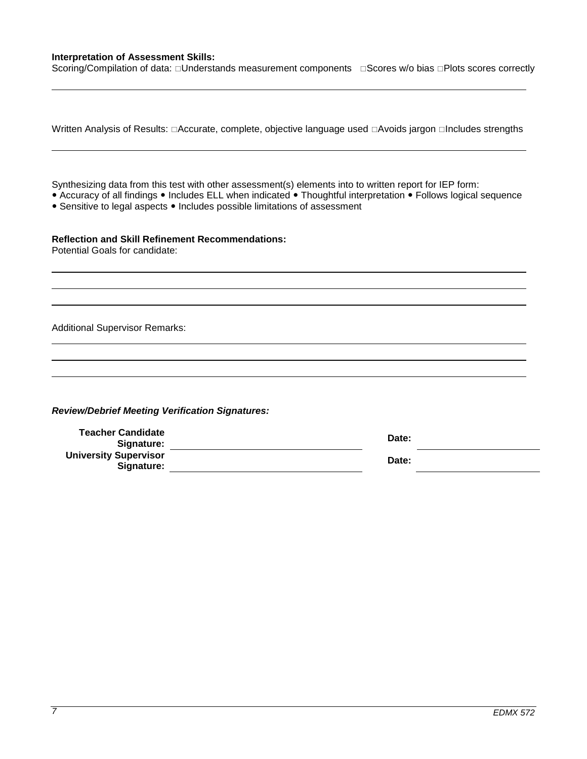### **Interpretation of Assessment Skills:**

Scoring/Compilation of data: Understands measurement components Gores w/o bias DPlots scores correctly

| Written Analysis of Results: □Accurate, complete, objective language used □Avoids jargon □Includes strengths                                                                                                                                                                                             |                |  |
|----------------------------------------------------------------------------------------------------------------------------------------------------------------------------------------------------------------------------------------------------------------------------------------------------------|----------------|--|
| Synthesizing data from this test with other assessment(s) elements into to written report for IEP form:<br>• Accuracy of all findings • Includes ELL when indicated • Thoughtful interpretation • Follows logical sequence<br>• Sensitive to legal aspects • Includes possible limitations of assessment |                |  |
| <b>Reflection and Skill Refinement Recommendations:</b><br>Potential Goals for candidate:                                                                                                                                                                                                                |                |  |
| <b>Additional Supervisor Remarks:</b>                                                                                                                                                                                                                                                                    |                |  |
| <b>Review/Debrief Meeting Verification Signatures:</b>                                                                                                                                                                                                                                                   |                |  |
| <b>Teacher Candidate</b><br>Signature:<br><b>University Supervisor</b><br>Signature:                                                                                                                                                                                                                     | Date:<br>Date: |  |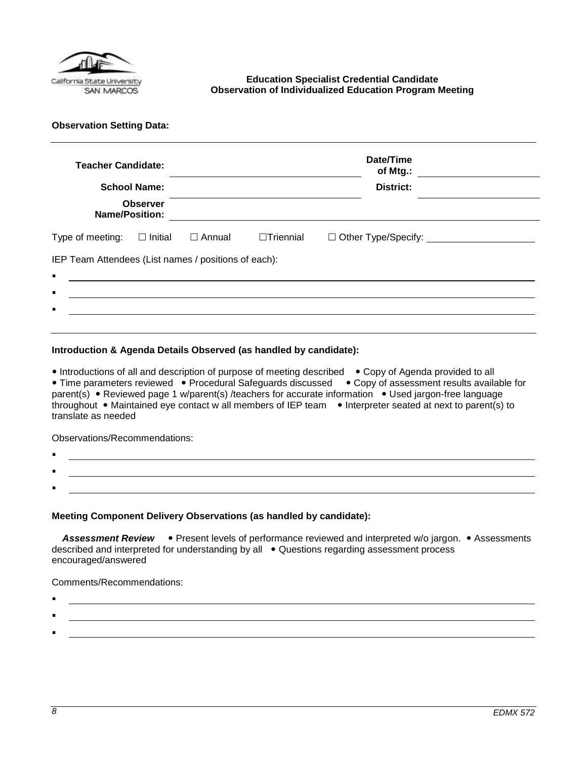

### <span id="page-7-0"></span>**Education Specialist Credential Candidate Observation of Individualized Education Program Meeting**

**Observation Setting Data:** 

| <b>Teacher Candidate:</b>                            | <b>School Name:</b>                      |               |                  | Date/Time<br>of Mtg.:<br><b>District:</b>       |
|------------------------------------------------------|------------------------------------------|---------------|------------------|-------------------------------------------------|
|                                                      | <b>Observer</b><br><b>Name/Position:</b> |               |                  |                                                 |
| Type of meeting:                                     | $\Box$ Initial                           | $\Box$ Annual | $\Box$ Triennial | □ Other Type/Specify: _________________________ |
| IEP Team Attendees (List names / positions of each): |                                          |               |                  |                                                 |
| $\blacksquare$<br>$\blacksquare$                     |                                          |               |                  |                                                 |
|                                                      |                                          |               |                  |                                                 |

### **Introduction & Agenda Details Observed (as handled by candidate):**

• Introductions of all and description of purpose of meeting described • Copy of Agenda provided to all • Time parameters reviewed • Procedural Safeguards discussed • Copy of assessment results available for parent(s) • Reviewed page 1 w/parent(s) /teachers for accurate information • Used jargon-free language throughout • Maintained eye contact w all members of IEP team • Interpreter seated at next to parent(s) to translate as needed

Observations/Recommendations:

- . .
- **Meeting Component Delivery Observations (as handled by candidate):**

Assessment Review • Present levels of performance reviewed and interpreted w/o jargon. • Assessments described and interpreted for understanding by all • Questions regarding assessment process encouraged/answered

Comments/Recommendations:

- :
	-

: .

: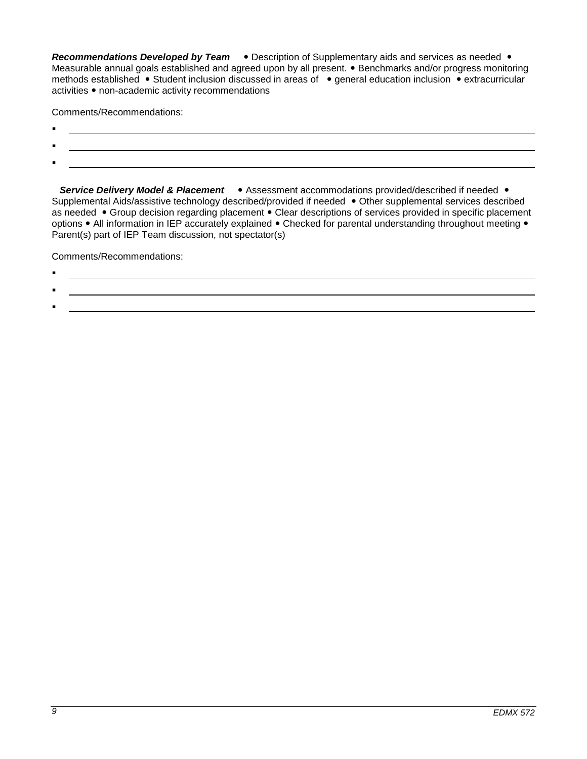**Recommendations Developed by Team •** Description of Supplementary aids and services as needed • Measurable annual goals established and agreed upon by all present. • Benchmarks and/or progress monitoring methods established • Student inclusion discussed in areas of • general education inclusion • extracurricular activities • non-academic activity recommendations

Comments/Recommendations:

- $\blacksquare$
- $\blacksquare$
- :

**Service Delivery Model & Placement •** Assessment accommodations provided/described if needed • Supplemental Aids/assistive technology described/provided if needed • Other supplemental services described as needed • Group decision regarding placement • Clear descriptions of services provided in specific placement options • All information in IEP accurately explained • Checked for parental understanding throughout meeting • Parent(s) part of IEP Team discussion, not spectator(s)

Comments/Recommendations:

.

:

# .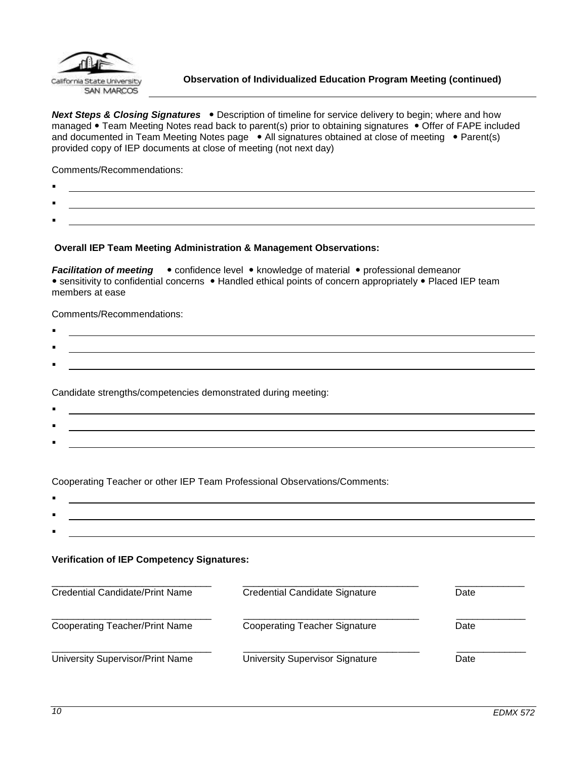

<span id="page-9-0"></span>**Next Steps & Closing Signatures** . Description of timeline for service delivery to begin; where and how managed • Team Meeting Notes read back to parent(s) prior to obtaining signatures • Offer of FAPE included and documented in Team Meeting Notes page . All signatures obtained at close of meeting . Parent(s) provided copy of IEP documents at close of meeting (not next day)

Comments/Recommendations:

- .
- .
- :

### **Overall IEP Team Meeting Administration & Management Observations:**

*Facilitation of meeting*  $\bullet$  confidence level  $\bullet$  knowledge of material  $\bullet$  professional demeanor • sensitivity to confidential concerns • Handled ethical points of concern appropriately • Placed IEP team members at ease

Comments/Recommendations:

 $\blacksquare$ : .

Candidate strengths/competencies demonstrated during meeting:

 $\blacksquare$ : <u> 1989 - Johann Stoff, Amerikaansk politiker (\* 1908)</u> :

Cooperating Teacher or other IEP Team Professional Observations/Comments:

. :

### **Verification of IEP Competency Signatures:**

| Credential Candidate/Print Name       | Credential Candidate Signature       | Date |
|---------------------------------------|--------------------------------------|------|
| <b>Cooperating Teacher/Print Name</b> | <b>Cooperating Teacher Signature</b> | Date |
| University Supervisor/Print Name      | University Supervisor Signature      | Date |

: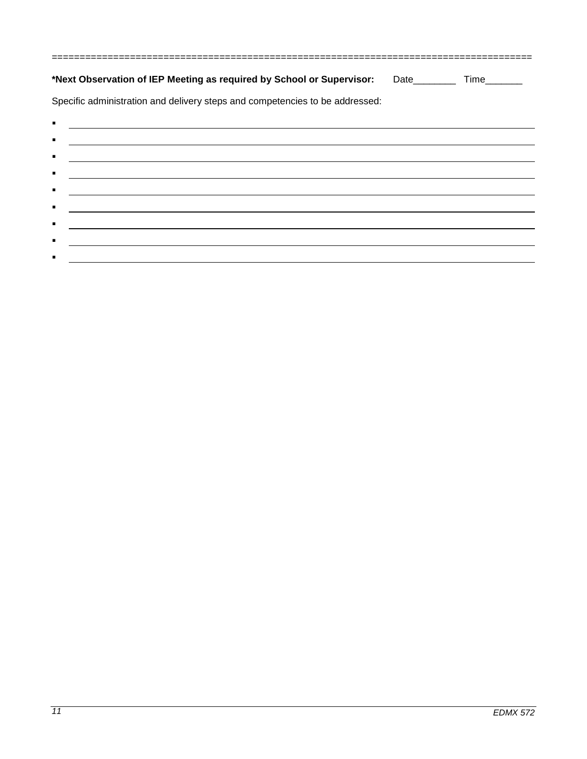| *Next Observation of IEP Meeting as required by School or Supervisor: Date________ Time_______                                         |  |
|----------------------------------------------------------------------------------------------------------------------------------------|--|
| Specific administration and delivery steps and competencies to be addressed:                                                           |  |
| ٠<br><u> Andreas Andreas Andreas Andreas Andreas Andreas Andreas Andreas Andreas Andreas Andreas Andreas Andreas Andr</u>              |  |
| ٠                                                                                                                                      |  |
| $\blacksquare$<br><u> Andreas Andreas Andreas Andreas Andreas Andreas Andreas Andreas Andreas Andreas Andreas Andreas Andreas Andr</u> |  |
| ٠<br><u> 1990 - Jan Barbara de Santo de Santo de Santo de Santo de Santo de Santo de Santo de Santo de Santo de Santo </u>             |  |
| <u> 1989 - John Harry Harry Harry Harry Harry Harry Harry Harry Harry Harry Harry Harry Harry Harry Harry Harry H</u>                  |  |
| $\blacksquare$<br><u> 1989 - Johann Stein, markin sanat masjid ayyında bir alan sanat masjid ayyında bir alan sanat masjid ayyında</u> |  |
| ٠                                                                                                                                      |  |
| <u> Andreas Andreas Andreas Andreas Andreas Andreas Andreas Andreas Andreas Andreas Andreas Andreas Andreas Andr</u>                   |  |
|                                                                                                                                        |  |

 $\blacksquare$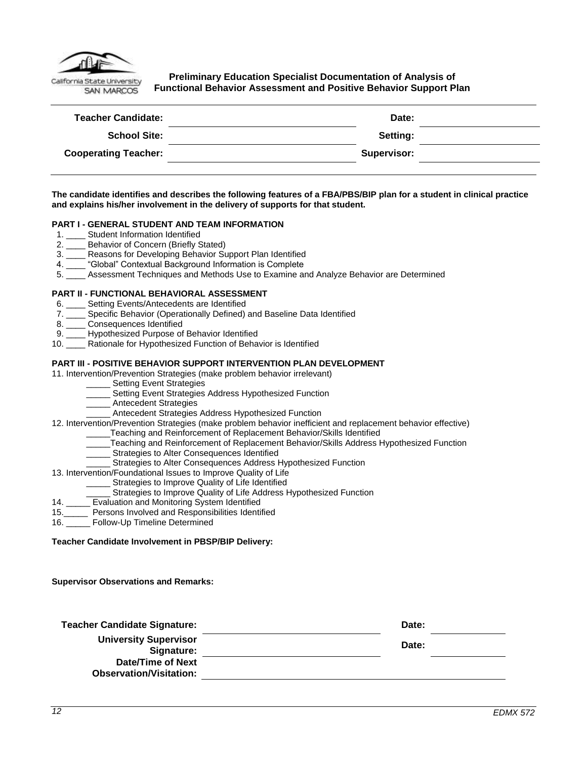

<span id="page-11-0"></span>**Preliminary Education Specialist Documentation of Analysis of Functional Behavior Assessment and Positive Behavior Support Plan**

| <b>Teacher Candidate:</b>   | Date:              |  |
|-----------------------------|--------------------|--|
| <b>School Site:</b>         | Setting:           |  |
| <b>Cooperating Teacher:</b> | <b>Supervisor:</b> |  |
|                             |                    |  |

### **The candidate identifies and describes the following features of a FBA/PBS/BIP plan for a student in clinical practice and explains his/her involvement in the delivery of supports for that student.**

### **PART I - GENERAL STUDENT AND TEAM INFORMATION**

- 1. \_\_\_\_ Student Information Identified
- 2. \_\_\_\_ Behavior of Concern (Briefly Stated)
- 3. \_\_\_\_ Reasons for Developing Behavior Support Plan Identified
- 4. \_\_\_\_ "Global" Contextual Background Information is Complete
- 5. \_\_\_\_ Assessment Techniques and Methods Use to Examine and Analyze Behavior are Determined

#### **PART II - FUNCTIONAL BEHAVIORAL ASSESSMENT**

- 6. Setting Events/Antecedents are Identified
- 7. \_\_\_\_ Specific Behavior (Operationally Defined) and Baseline Data Identified
- 
- 8. \_\_\_\_\_ Consequences Identified<br>9. \_\_\_\_ Hypothesized Purpose of Hypothesized Purpose of Behavior Identified
- 10. \_\_\_\_ Rationale for Hypothesized Function of Behavior is Identified

#### **PART III - POSITIVE BEHAVIOR SUPPORT INTERVENTION PLAN DEVELOPMENT**

#### 11. Intervention/Prevention Strategies (make problem behavior irrelevant)

- \_\_\_\_\_ Setting Event Strategies
- Setting Event Strategies Address Hypothesized Function
- \_ Antecedent Strategies
- Antecedent Strategies Address Hypothesized Function
- 12. Intervention/Prevention Strategies (make problem behavior inefficient and replacement behavior effective)
	- \_\_\_\_\_Teaching and Reinforcement of Replacement Behavior/Skills Identified
	- \_\_\_\_\_Teaching and Reinforcement of Replacement Behavior/Skills Address Hypothesized Function
	- Strategies to Alter Consequences Identified
	- Strategies to Alter Consequences Address Hypothesized Function

#### 13. Intervention/Foundational Issues to Improve Quality of Life

- Strategies to Improve Quality of Life Identified
- Strategies to Improve Quality of Life Address Hypothesized Function
- 14. \_\_\_\_\_ Evaluation and Monitoring System Identified
- 15.\_\_\_\_\_ Persons Involved and Responsibilities Identified
- 16. \_\_\_\_\_ Follow-Up Timeline Determined

#### **Teacher Candidate Involvement in PBSP/BIP Delivery:**

**Supervisor Observations and Remarks:**

| <b>Teacher Candidate Signature:</b>                 | Date: |  |
|-----------------------------------------------------|-------|--|
| <b>University Supervisor</b><br>Signature:          | Date: |  |
| Date/Time of Next<br><b>Observation/Visitation:</b> |       |  |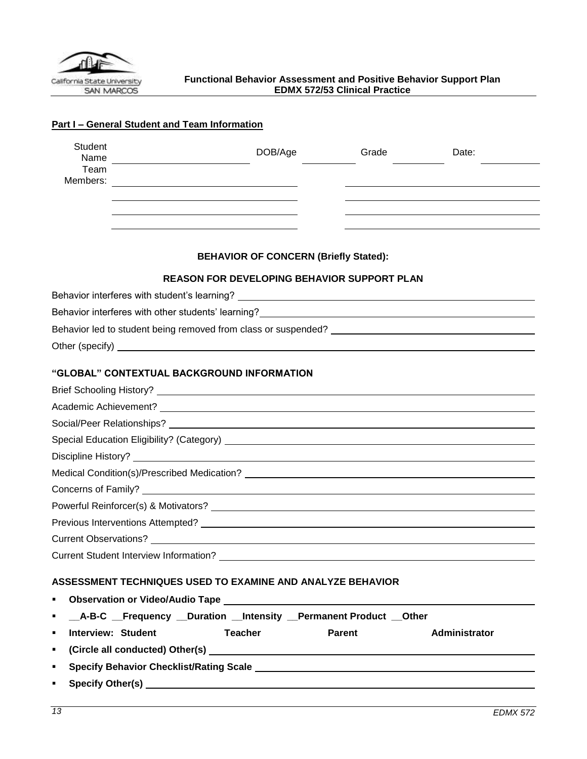<span id="page-12-0"></span>

| Student<br>Name                                                                                                                                                                                                                      | DOB/Age                                                    | Grade  | Date:         |
|--------------------------------------------------------------------------------------------------------------------------------------------------------------------------------------------------------------------------------------|------------------------------------------------------------|--------|---------------|
| Team<br>Members:                                                                                                                                                                                                                     |                                                            |        |               |
|                                                                                                                                                                                                                                      | <u> 1980 - Jan Stein Stein, fransk politik (f. 1980)</u>   |        |               |
|                                                                                                                                                                                                                                      |                                                            |        |               |
|                                                                                                                                                                                                                                      |                                                            |        |               |
|                                                                                                                                                                                                                                      | <b>BEHAVIOR OF CONCERN (Briefly Stated):</b>               |        |               |
|                                                                                                                                                                                                                                      | <b>REASON FOR DEVELOPING BEHAVIOR SUPPORT PLAN</b>         |        |               |
|                                                                                                                                                                                                                                      |                                                            |        |               |
| Behavior interferes with other students' learning?<br>Sehavior interferes with other students' learning?<br>Sehavior interferes with other students' learning?<br>Sehavior interferes with other students' learning?                 |                                                            |        |               |
|                                                                                                                                                                                                                                      |                                                            |        |               |
| Other (specify) <u>example and the set of the set of the set of the set of the set of the set of the set of the set of the set of the set of the set of the set of the set of the set of the set of the set of the set of the se</u> |                                                            |        |               |
| "GLOBAL" CONTEXTUAL BACKGROUND INFORMATION                                                                                                                                                                                           |                                                            |        |               |
|                                                                                                                                                                                                                                      |                                                            |        |               |
|                                                                                                                                                                                                                                      |                                                            |        |               |
|                                                                                                                                                                                                                                      |                                                            |        |               |
|                                                                                                                                                                                                                                      |                                                            |        |               |
|                                                                                                                                                                                                                                      |                                                            |        |               |
|                                                                                                                                                                                                                                      |                                                            |        |               |
|                                                                                                                                                                                                                                      |                                                            |        |               |
|                                                                                                                                                                                                                                      |                                                            |        |               |
|                                                                                                                                                                                                                                      |                                                            |        |               |
|                                                                                                                                                                                                                                      |                                                            |        |               |
|                                                                                                                                                                                                                                      |                                                            |        |               |
|                                                                                                                                                                                                                                      |                                                            |        |               |
| ASSESSMENT TECHNIQUES USED TO EXAMINE AND ANALYZE BEHAVIOR                                                                                                                                                                           |                                                            |        |               |
| ٠                                                                                                                                                                                                                                    |                                                            |        |               |
| __A-B-C __Frequency __Duration __Intensity __Permanent Product __Other<br>٠                                                                                                                                                          |                                                            |        |               |
| <b>Interview: Student</b><br>٠                                                                                                                                                                                                       | <b>Teacher</b>                                             | Parent | Administrator |
| ٠                                                                                                                                                                                                                                    |                                                            |        |               |
| Specify Behavior Checklist/Rating Scale League And Alexander And Alexander Andrew Scale<br>٠                                                                                                                                         |                                                            |        |               |
| Specify Other(s)<br>٠                                                                                                                                                                                                                | <u> 1989 - John Stein, Amerikaansk politiker (</u> † 1920) |        |               |

## **Part I – General Student and Team Information**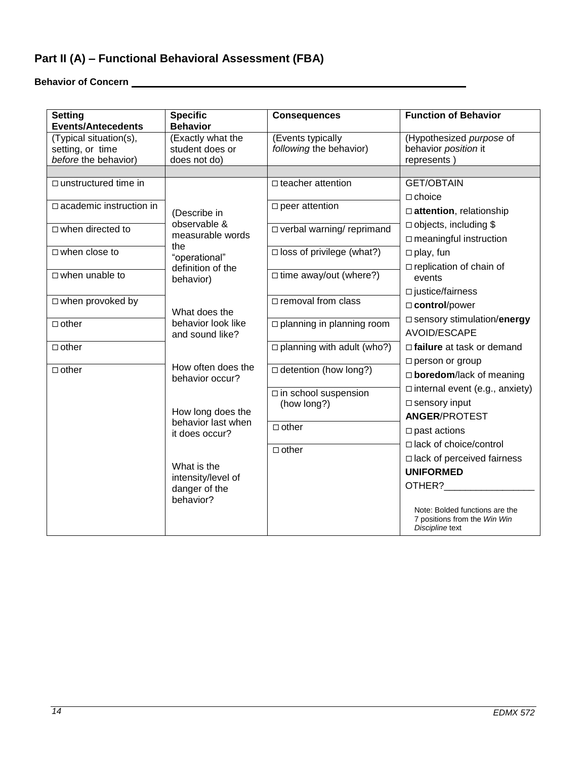# **Part II (A) – Functional Behavioral Assessment (FBA)**

**Behavior of Concern** 

| <b>Setting</b><br><b>Events/Antecedents</b> | <b>Specific</b><br><b>Behavior</b> | <b>Consequences</b>                 | <b>Function of Behavior</b>                                                       |
|---------------------------------------------|------------------------------------|-------------------------------------|-----------------------------------------------------------------------------------|
| (Typical situation(s),                      | (Exactly what the                  | (Events typically                   | (Hypothesized purpose of                                                          |
| setting, or time                            | student does or                    | following the behavior)             | behavior position it                                                              |
| before the behavior)                        | does not do)                       |                                     | represents)                                                                       |
|                                             |                                    |                                     |                                                                                   |
| $\Box$ unstructured time in                 |                                    | □ teacher attention                 | <b>GET/OBTAIN</b>                                                                 |
| $\Box$ academic instruction in              |                                    | $\square$ peer attention            | $\Box$ choice                                                                     |
|                                             | (Describe in                       |                                     | $\Box$ attention, relationship                                                    |
| $\Box$ when directed to                     | observable &                       | □ verbal warning/ reprimand         | $\Box$ objects, including \$                                                      |
|                                             | measurable words                   |                                     | $\Box$ meaningful instruction                                                     |
| $\Box$ when close to                        | the                                | $\square$ loss of privilege (what?) | $\Box$ play, fun                                                                  |
|                                             | "operational"<br>definition of the |                                     | $\Box$ replication of chain of                                                    |
| $\Box$ when unable to                       | behavior)                          | $\Box$ time away/out (where?)       | events                                                                            |
|                                             |                                    |                                     | $\square$ justice/fairness                                                        |
| $\Box$ when provoked by                     |                                    | $\Box$ removal from class           | □ control/power                                                                   |
|                                             | What does the                      |                                     | □ sensory stimulation/energy                                                      |
| $\Box$ other                                | behavior look like                 | □ planning in planning room         |                                                                                   |
|                                             | and sound like?                    |                                     | <b>AVOID/ESCAPE</b>                                                               |
| $\Box$ other                                |                                    | $\Box$ planning with adult (who?)   | $\Box$ failure at task or demand                                                  |
|                                             | How often does the                 |                                     | $\Box$ person or group                                                            |
| $\Box$ other                                | behavior occur?                    | □ detention (how long?)             | $\Box$ boredom/lack of meaning                                                    |
|                                             |                                    | $\square$ in school suspension      | $\Box$ internal event (e.g., anxiety)                                             |
|                                             |                                    | (how long?)                         | $\square$ sensory input                                                           |
|                                             | How long does the                  |                                     | <b>ANGER/PROTEST</b>                                                              |
|                                             | behavior last when                 | $\Box$ other                        | $\square$ past actions                                                            |
|                                             | it does occur?                     |                                     |                                                                                   |
|                                             |                                    | $\Box$ other                        | □ lack of choice/control                                                          |
|                                             | What is the                        |                                     | $\Box$ lack of perceived fairness                                                 |
|                                             | intensity/level of                 |                                     | <b>UNIFORMED</b>                                                                  |
|                                             | danger of the                      |                                     | OTHER?                                                                            |
|                                             | behavior?                          |                                     |                                                                                   |
|                                             |                                    |                                     | Note: Bolded functions are the<br>7 positions from the Win Win<br>Discipline text |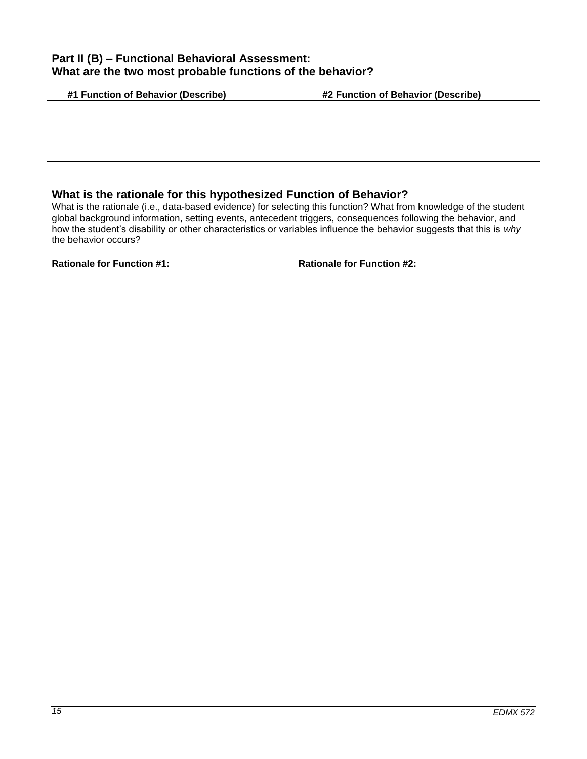## **Part II (B) – Functional Behavioral Assessment: What are the two most probable functions of the behavior?**

| #1 Function of Behavior (Describe) | #2 Function of Behavior (Describe) |
|------------------------------------|------------------------------------|
|                                    |                                    |
|                                    |                                    |
|                                    |                                    |
|                                    |                                    |
|                                    |                                    |

## **What is the rationale for this hypothesized Function of Behavior?**

What is the rationale (i.e., data-based evidence) for selecting this function? What from knowledge of the student global background information, setting events, antecedent triggers, consequences following the behavior, and how the student's disability or other characteristics or variables influence the behavior suggests that this is *why*  the behavior occurs?

| <b>Rationale for Function #1:</b> | <b>Rationale for Function #2:</b> |
|-----------------------------------|-----------------------------------|
|                                   |                                   |
|                                   |                                   |
|                                   |                                   |
|                                   |                                   |
|                                   |                                   |
|                                   |                                   |
|                                   |                                   |
|                                   |                                   |
|                                   |                                   |
|                                   |                                   |
|                                   |                                   |
|                                   |                                   |
|                                   |                                   |
|                                   |                                   |
|                                   |                                   |
|                                   |                                   |
|                                   |                                   |
|                                   |                                   |
|                                   |                                   |
|                                   |                                   |
|                                   |                                   |
|                                   |                                   |
|                                   |                                   |
|                                   |                                   |
|                                   |                                   |
|                                   |                                   |
|                                   |                                   |
|                                   |                                   |
|                                   |                                   |
|                                   |                                   |
|                                   |                                   |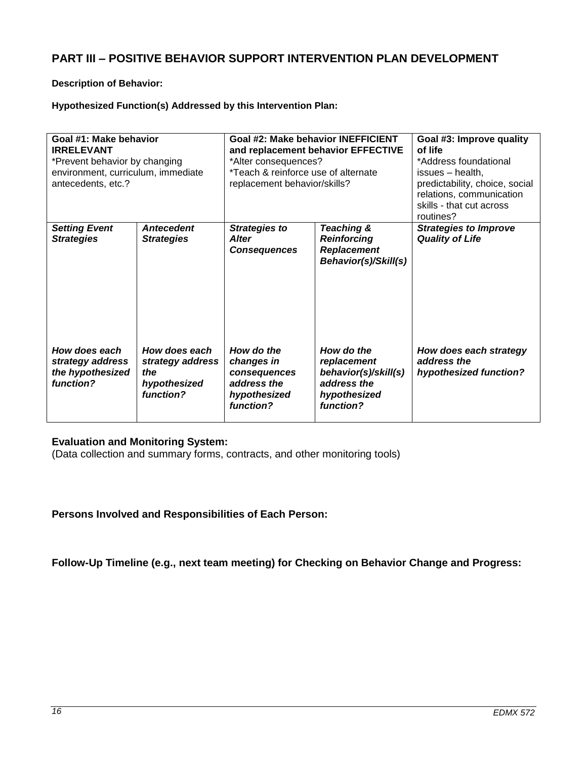## **PART III – POSITIVE BEHAVIOR SUPPORT INTERVENTION PLAN DEVELOPMENT**

### **Description of Behavior:**

## **Hypothesized Function(s) Addressed by this Intervention Plan:**

| Goal #1: Make behavior<br><b>IRRELEVANT</b><br>*Prevent behavior by changing<br>environment, curriculum, immediate<br>antecedents, etc.? |                                                                       | Goal #2: Make behavior INEFFICIENT<br>and replacement behavior EFFECTIVE<br>*Alter consequences?<br>*Teach & reinforce use of alternate<br>replacement behavior/skills? |                                                                                               | Goal #3: Improve quality<br>of life<br>*Address foundational<br>issues - health,<br>predictability, choice, social<br>relations, communication<br>skills - that cut across<br>routines? |
|------------------------------------------------------------------------------------------------------------------------------------------|-----------------------------------------------------------------------|-------------------------------------------------------------------------------------------------------------------------------------------------------------------------|-----------------------------------------------------------------------------------------------|-----------------------------------------------------------------------------------------------------------------------------------------------------------------------------------------|
| <b>Setting Event</b><br><b>Strategies</b>                                                                                                | <b>Antecedent</b><br><b>Strategies</b>                                | <b>Strategies to</b><br><b>Alter</b><br><b>Consequences</b>                                                                                                             | Teaching &<br><b>Reinforcing</b><br><b>Replacement</b><br>Behavior(s)/Skill(s)                | <b>Strategies to Improve</b><br><b>Quality of Life</b>                                                                                                                                  |
| How does each<br>strategy address<br>the hypothesized<br>function?                                                                       | How does each<br>strategy address<br>the<br>hypothesized<br>function? | How do the<br>changes in<br>consequences<br>address the<br>hypothesized<br>function?                                                                                    | How do the<br>replacement<br>behavior(s)/skill(s)<br>address the<br>hypothesized<br>function? | How does each strategy<br>address the<br>hypothesized function?                                                                                                                         |

### **Evaluation and Monitoring System:**

(Data collection and summary forms, contracts, and other monitoring tools)

**Persons Involved and Responsibilities of Each Person:**

**Follow-Up Timeline (e.g., next team meeting) for Checking on Behavior Change and Progress:**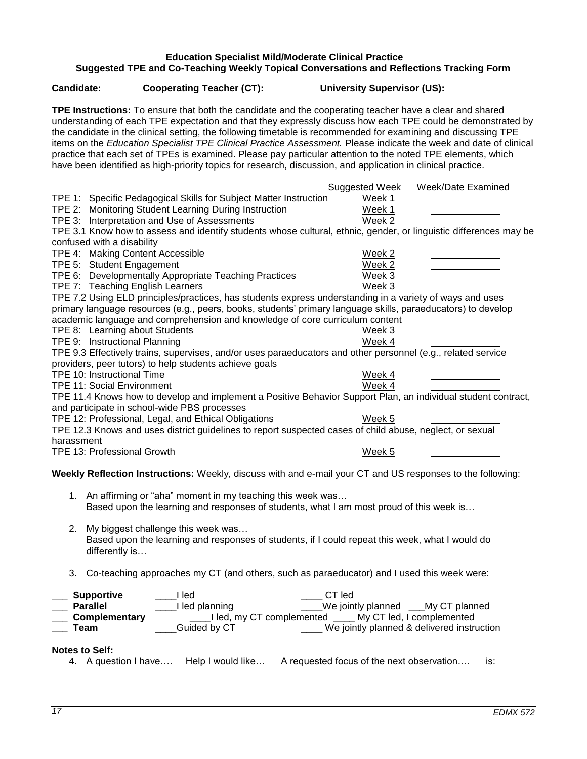## **Education Specialist Mild/Moderate Clinical Practice Suggested TPE and Co-Teaching Weekly Topical Conversations and Reflections Tracking Form**

**TPE Instructions:** To ensure that both the candidate and the cooperating teacher have a clear and shared

<span id="page-16-0"></span>**Candidate: Cooperating Teacher (CT): University Supervisor (US):**

| understanding of each TPE expectation and that they expressly discuss how each TPE could be demonstrated by<br>the candidate in the clinical setting, the following timetable is recommended for examining and discussing TPE<br>items on the Education Specialist TPE Clinical Practice Assessment. Please indicate the week and date of clinical<br>practice that each set of TPEs is examined. Please pay particular attention to the noted TPE elements, which<br>have been identified as high-priority topics for research, discussion, and application in clinical practice.                                                                                                                                                                                                                                                                                                                                                                                                                         |                                                                                                                                                       |
|------------------------------------------------------------------------------------------------------------------------------------------------------------------------------------------------------------------------------------------------------------------------------------------------------------------------------------------------------------------------------------------------------------------------------------------------------------------------------------------------------------------------------------------------------------------------------------------------------------------------------------------------------------------------------------------------------------------------------------------------------------------------------------------------------------------------------------------------------------------------------------------------------------------------------------------------------------------------------------------------------------|-------------------------------------------------------------------------------------------------------------------------------------------------------|
|                                                                                                                                                                                                                                                                                                                                                                                                                                                                                                                                                                                                                                                                                                                                                                                                                                                                                                                                                                                                            | Suggested Week<br>Week/Date Examined                                                                                                                  |
| TPE 1: Specific Pedagogical Skills for Subject Matter Instruction                                                                                                                                                                                                                                                                                                                                                                                                                                                                                                                                                                                                                                                                                                                                                                                                                                                                                                                                          | Week 1                                                                                                                                                |
| TPE 2: Monitoring Student Learning During Instruction                                                                                                                                                                                                                                                                                                                                                                                                                                                                                                                                                                                                                                                                                                                                                                                                                                                                                                                                                      | Week 1                                                                                                                                                |
| TPE 3: Interpretation and Use of Assessments                                                                                                                                                                                                                                                                                                                                                                                                                                                                                                                                                                                                                                                                                                                                                                                                                                                                                                                                                               | Week 2                                                                                                                                                |
| TPE 3.1 Know how to assess and identify students whose cultural, ethnic, gender, or linguistic differences may be                                                                                                                                                                                                                                                                                                                                                                                                                                                                                                                                                                                                                                                                                                                                                                                                                                                                                          |                                                                                                                                                       |
| confused with a disability                                                                                                                                                                                                                                                                                                                                                                                                                                                                                                                                                                                                                                                                                                                                                                                                                                                                                                                                                                                 |                                                                                                                                                       |
| TPE 4: Making Content Accessible                                                                                                                                                                                                                                                                                                                                                                                                                                                                                                                                                                                                                                                                                                                                                                                                                                                                                                                                                                           | Week 2                                                                                                                                                |
| TPE 5: Student Engagement<br>TPE 6: Developmentally Appropriate Teaching Practices                                                                                                                                                                                                                                                                                                                                                                                                                                                                                                                                                                                                                                                                                                                                                                                                                                                                                                                         | Week 2<br>Week 3                                                                                                                                      |
| TPE 7: Teaching English Learners                                                                                                                                                                                                                                                                                                                                                                                                                                                                                                                                                                                                                                                                                                                                                                                                                                                                                                                                                                           | Week 3                                                                                                                                                |
|                                                                                                                                                                                                                                                                                                                                                                                                                                                                                                                                                                                                                                                                                                                                                                                                                                                                                                                                                                                                            |                                                                                                                                                       |
| TPE 7.2 Using ELD principles/practices, has students express understanding in a variety of ways and uses<br>primary language resources (e.g., peers, books, students' primary language skills, paraeducators) to develop<br>academic language and comprehension and knowledge of core curriculum content<br>TPE 8: Learning about Students<br>TPE 9: Instructional Planning<br>TPE 9.3 Effectively trains, supervises, and/or uses paraeducators and other personnel (e.g., related service<br>providers, peer tutors) to help students achieve goals<br>TPE 10: Instructional Time<br><b>TPE 11: Social Environment</b><br>TPE 11.4 Knows how to develop and implement a Positive Behavior Support Plan, an individual student contract,<br>and participate in school-wide PBS processes<br>TPE 12: Professional, Legal, and Ethical Obligations<br>TPE 12.3 Knows and uses district guidelines to report suspected cases of child abuse, neglect, or sexual<br>harassment<br>TPE 13: Professional Growth | Week 3<br>Week 4<br>Week 4<br>Week 4<br>Week 5<br>Week 5                                                                                              |
| Weekly Reflection Instructions: Weekly, discuss with and e-mail your CT and US responses to the following:                                                                                                                                                                                                                                                                                                                                                                                                                                                                                                                                                                                                                                                                                                                                                                                                                                                                                                 |                                                                                                                                                       |
| 1. An affirming or "aha" moment in my teaching this week was<br>Based upon the learning and responses of students, what I am most proud of this week is                                                                                                                                                                                                                                                                                                                                                                                                                                                                                                                                                                                                                                                                                                                                                                                                                                                    |                                                                                                                                                       |
| My biggest challenge this week was<br>2.<br>Based upon the learning and responses of students, if I could repeat this week, what I would do<br>differently is                                                                                                                                                                                                                                                                                                                                                                                                                                                                                                                                                                                                                                                                                                                                                                                                                                              |                                                                                                                                                       |
| Co-teaching approaches my CT (and others, such as paraeducator) and I used this week were:<br>3.                                                                                                                                                                                                                                                                                                                                                                                                                                                                                                                                                                                                                                                                                                                                                                                                                                                                                                           |                                                                                                                                                       |
| <b>Supportive</b><br>I led<br><b>Parallel</b><br>I led planning<br>Complementary<br>Guided by CT<br>Team<br><b>Notes to Self:</b>                                                                                                                                                                                                                                                                                                                                                                                                                                                                                                                                                                                                                                                                                                                                                                                                                                                                          | CT led<br>We jointly planned ___My CT planned<br>Led, my CT complemented ____ My CT led, I complemented<br>We jointly planned & delivered instruction |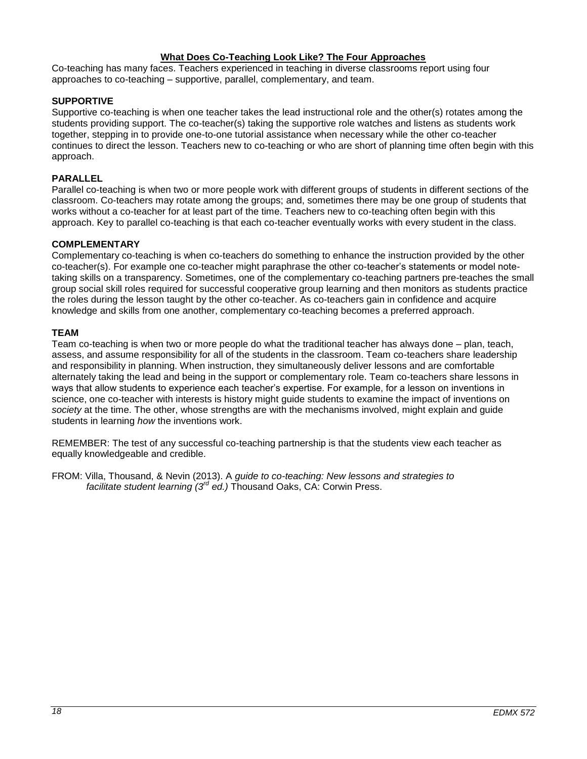### **What Does Co-Teaching Look Like? The Four Approaches**

Co-teaching has many faces. Teachers experienced in teaching in diverse classrooms report using four approaches to co-teaching – supportive, parallel, complementary, and team.

### **SUPPORTIVE**

Supportive co-teaching is when one teacher takes the lead instructional role and the other(s) rotates among the students providing support. The co-teacher(s) taking the supportive role watches and listens as students work together, stepping in to provide one-to-one tutorial assistance when necessary while the other co-teacher continues to direct the lesson. Teachers new to co-teaching or who are short of planning time often begin with this approach.

### **PARALLEL**

Parallel co-teaching is when two or more people work with different groups of students in different sections of the classroom. Co-teachers may rotate among the groups; and, sometimes there may be one group of students that works without a co-teacher for at least part of the time. Teachers new to co-teaching often begin with this approach. Key to parallel co-teaching is that each co-teacher eventually works with every student in the class.

### **COMPLEMENTARY**

Complementary co-teaching is when co-teachers do something to enhance the instruction provided by the other co-teacher(s). For example one co-teacher might paraphrase the other co-teacher's statements or model notetaking skills on a transparency. Sometimes, one of the complementary co-teaching partners pre-teaches the small group social skill roles required for successful cooperative group learning and then monitors as students practice the roles during the lesson taught by the other co-teacher. As co-teachers gain in confidence and acquire knowledge and skills from one another, complementary co-teaching becomes a preferred approach.

### **TEAM**

Team co-teaching is when two or more people do what the traditional teacher has always done – plan, teach, assess, and assume responsibility for all of the students in the classroom. Team co-teachers share leadership and responsibility in planning. When instruction, they simultaneously deliver lessons and are comfortable alternately taking the lead and being in the support or complementary role. Team co-teachers share lessons in ways that allow students to experience each teacher's expertise. For example, for a lesson on inventions in science, one co-teacher with interests is history might guide students to examine the impact of inventions on *society* at the time. The other, whose strengths are with the mechanisms involved, might explain and guide students in learning *how* the inventions work.

REMEMBER: The test of any successful co-teaching partnership is that the students view each teacher as equally knowledgeable and credible.

FROM: Villa, Thousand, & Nevin (2013). A *guide to co-teaching: New lessons and strategies to facilitate student learning (3rd ed.)* Thousand Oaks, CA: Corwin Press.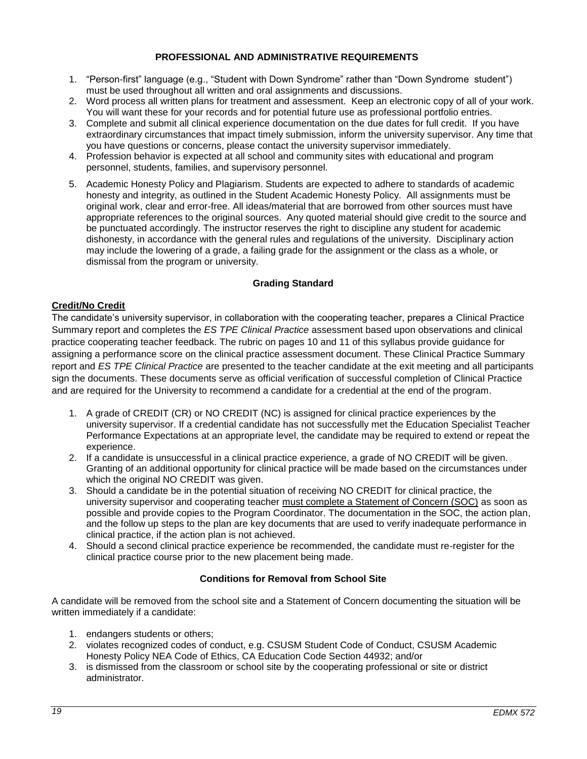### **PROFESSIONAL AND ADMINISTRATIVE REQUIREMENTS**

- <span id="page-18-0"></span>1. "Person-first" language (e.g., "Student with Down Syndrome" rather than "Down Syndrome student") must be used throughout all written and oral assignments and discussions.
- 2. Word process all written plans for treatment and assessment. Keep an electronic copy of all of your work. You will want these for your records and for potential future use as professional portfolio entries.
- 3. Complete and submit all clinical experience documentation on the due dates for full credit. If you have extraordinary circumstances that impact timely submission, inform the university supervisor. Any time that you have questions or concerns, please contact the university supervisor immediately.
- 4. Profession behavior is expected at all school and community sites with educational and program personnel, students, families, and supervisory personnel.
- 5. Academic Honesty Policy and Plagiarism. Students are expected to adhere to standards of academic honesty and integrity, as outlined in the Student Academic Honesty Policy. All assignments must be original work, clear and error-free. All ideas/material that are borrowed from other sources must have appropriate references to the original sources. Any quoted material should give credit to the source and be punctuated accordingly. The instructor reserves the right to discipline any student for academic dishonesty, in accordance with the general rules and regulations of the university. Disciplinary action may include the lowering of a grade, a failing grade for the assignment or the class as a whole, or dismissal from the program or university.

### **Grading Standard**

### <span id="page-18-2"></span><span id="page-18-1"></span>**Credit/No Credit**

The candidate's university supervisor, in collaboration with the cooperating teacher, prepares a Clinical Practice Summary report and completes the *ES TPE Clinical Practice* assessment based upon observations and clinical practice cooperating teacher feedback. The rubric on pages 10 and 11 of this syllabus provide guidance for assigning a performance score on the clinical practice assessment document. These Clinical Practice Summary report and *ES TPE Clinical Practice* are presented to the teacher candidate at the exit meeting and all participants sign the documents. These documents serve as official verification of successful completion of Clinical Practice and are required for the University to recommend a candidate for a credential at the end of the program.

- 1. A grade of CREDIT (CR) or NO CREDIT (NC) is assigned for clinical practice experiences by the university supervisor. If a credential candidate has not successfully met the Education Specialist Teacher Performance Expectations at an appropriate level, the candidate may be required to extend or repeat the experience.
- 2. If a candidate is unsuccessful in a clinical practice experience, a grade of NO CREDIT will be given. Granting of an additional opportunity for clinical practice will be made based on the circumstances under which the original NO CREDIT was given.
- 3. Should a candidate be in the potential situation of receiving NO CREDIT for clinical practice, the university supervisor and cooperating teacher must complete a Statement of Concern (SOC) as soon as possible and provide copies to the Program Coordinator. The documentation in the SOC, the action plan, and the follow up steps to the plan are key documents that are used to verify inadequate performance in clinical practice, if the action plan is not achieved.
- 4. Should a second clinical practice experience be recommended, the candidate must re-register for the clinical practice course prior to the new placement being made.

### **Conditions for Removal from School Site**

<span id="page-18-3"></span>A candidate will be removed from the school site and a Statement of Concern documenting the situation will be written immediately if a candidate:

- 1. endangers students or others;
- 2. violates recognized codes of conduct, e.g. CSUSM Student Code of Conduct, CSUSM Academic Honesty Policy NEA Code of Ethics, CA Education Code Section 44932; and/or
- 3. is dismissed from the classroom or school site by the cooperating professional or site or district administrator.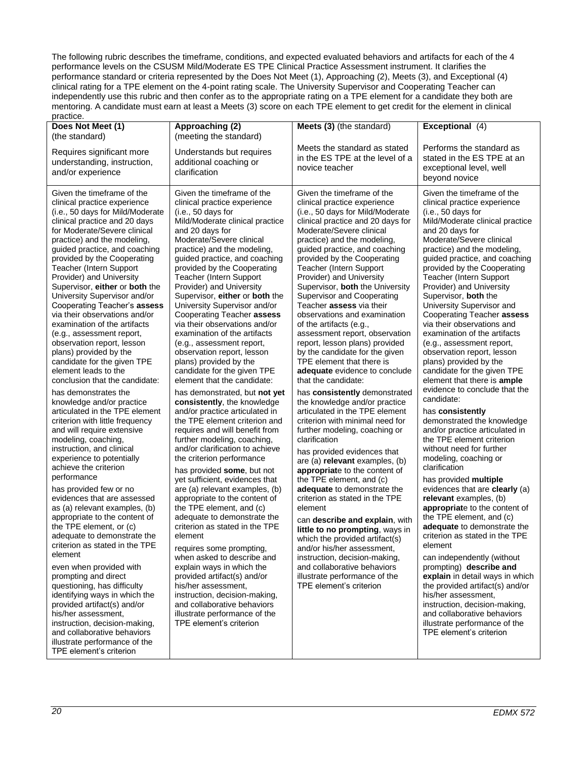The following rubric describes the timeframe, conditions, and expected evaluated behaviors and artifacts for each of the 4 performance levels on the CSUSM Mild/Moderate ES TPE Clinical Practice Assessment instrument. It clarifies the performance standard or criteria represented by the Does Not Meet (1), Approaching (2), Meets (3), and Exceptional (4) clinical rating for a TPE element on the 4-point rating scale. The University Supervisor and Cooperating Teacher can independently use this rubric and then confer as to the appropriate rating on a TPE element for a candidate they both are mentoring. A candidate must earn at least a Meets (3) score on each TPE element to get credit for the element in clinical

| practice.                                                                                                                                                                                                                                                                                                                                                                                                                                                                                                                                                                                                                                                                                                                                                                                                                                                                                                                                                                                                                                                                                                                                                                                                                                                                                                                                                                                                                                                                                      |                                                                                                                                                                                                                                                                                                                                                                                                                                                                                                                                                                                                                                                                                                                                                                                                                                                                                                                                                                                                                                                                                                                                                                                                                                                                                                                                                                                                                                      |                                                                                                                                                                                                                                                                                                                                                                                                                                                                                                                                                                                                                                                                                                                                                                                                                                                                                                                                                                                                                                                                                                                                                                                                                                                                                                                                                     |                                                                                                                                                                                                                                                                                                                                                                                                                                                                                                                                                                                                                                                                                                                                                                                                                                                                                                                                                                                                                                                                                                                                                                                                                                                                                                                                                                                    |
|------------------------------------------------------------------------------------------------------------------------------------------------------------------------------------------------------------------------------------------------------------------------------------------------------------------------------------------------------------------------------------------------------------------------------------------------------------------------------------------------------------------------------------------------------------------------------------------------------------------------------------------------------------------------------------------------------------------------------------------------------------------------------------------------------------------------------------------------------------------------------------------------------------------------------------------------------------------------------------------------------------------------------------------------------------------------------------------------------------------------------------------------------------------------------------------------------------------------------------------------------------------------------------------------------------------------------------------------------------------------------------------------------------------------------------------------------------------------------------------------|--------------------------------------------------------------------------------------------------------------------------------------------------------------------------------------------------------------------------------------------------------------------------------------------------------------------------------------------------------------------------------------------------------------------------------------------------------------------------------------------------------------------------------------------------------------------------------------------------------------------------------------------------------------------------------------------------------------------------------------------------------------------------------------------------------------------------------------------------------------------------------------------------------------------------------------------------------------------------------------------------------------------------------------------------------------------------------------------------------------------------------------------------------------------------------------------------------------------------------------------------------------------------------------------------------------------------------------------------------------------------------------------------------------------------------------|-----------------------------------------------------------------------------------------------------------------------------------------------------------------------------------------------------------------------------------------------------------------------------------------------------------------------------------------------------------------------------------------------------------------------------------------------------------------------------------------------------------------------------------------------------------------------------------------------------------------------------------------------------------------------------------------------------------------------------------------------------------------------------------------------------------------------------------------------------------------------------------------------------------------------------------------------------------------------------------------------------------------------------------------------------------------------------------------------------------------------------------------------------------------------------------------------------------------------------------------------------------------------------------------------------------------------------------------------------|------------------------------------------------------------------------------------------------------------------------------------------------------------------------------------------------------------------------------------------------------------------------------------------------------------------------------------------------------------------------------------------------------------------------------------------------------------------------------------------------------------------------------------------------------------------------------------------------------------------------------------------------------------------------------------------------------------------------------------------------------------------------------------------------------------------------------------------------------------------------------------------------------------------------------------------------------------------------------------------------------------------------------------------------------------------------------------------------------------------------------------------------------------------------------------------------------------------------------------------------------------------------------------------------------------------------------------------------------------------------------------|
| Does Not Meet (1)                                                                                                                                                                                                                                                                                                                                                                                                                                                                                                                                                                                                                                                                                                                                                                                                                                                                                                                                                                                                                                                                                                                                                                                                                                                                                                                                                                                                                                                                              | Approaching (2)                                                                                                                                                                                                                                                                                                                                                                                                                                                                                                                                                                                                                                                                                                                                                                                                                                                                                                                                                                                                                                                                                                                                                                                                                                                                                                                                                                                                                      | Meets (3) (the standard)                                                                                                                                                                                                                                                                                                                                                                                                                                                                                                                                                                                                                                                                                                                                                                                                                                                                                                                                                                                                                                                                                                                                                                                                                                                                                                                            | Exceptional (4)                                                                                                                                                                                                                                                                                                                                                                                                                                                                                                                                                                                                                                                                                                                                                                                                                                                                                                                                                                                                                                                                                                                                                                                                                                                                                                                                                                    |
| (the standard)<br>Requires significant more<br>understanding, instruction,<br>and/or experience                                                                                                                                                                                                                                                                                                                                                                                                                                                                                                                                                                                                                                                                                                                                                                                                                                                                                                                                                                                                                                                                                                                                                                                                                                                                                                                                                                                                | (meeting the standard)<br>Understands but requires<br>additional coaching or<br>clarification                                                                                                                                                                                                                                                                                                                                                                                                                                                                                                                                                                                                                                                                                                                                                                                                                                                                                                                                                                                                                                                                                                                                                                                                                                                                                                                                        | Meets the standard as stated<br>in the ES TPE at the level of a<br>novice teacher                                                                                                                                                                                                                                                                                                                                                                                                                                                                                                                                                                                                                                                                                                                                                                                                                                                                                                                                                                                                                                                                                                                                                                                                                                                                   | Performs the standard as<br>stated in the ES TPE at an<br>exceptional level, well<br>beyond novice                                                                                                                                                                                                                                                                                                                                                                                                                                                                                                                                                                                                                                                                                                                                                                                                                                                                                                                                                                                                                                                                                                                                                                                                                                                                                 |
| Given the timeframe of the<br>clinical practice experience<br>(i.e., 50 days for Mild/Moderate<br>clinical practice and 20 days<br>for Moderate/Severe clinical<br>practice) and the modeling,<br>guided practice, and coaching<br>provided by the Cooperating<br>Teacher (Intern Support<br>Provider) and University<br>Supervisor, either or both the<br>University Supervisor and/or<br>Cooperating Teacher's assess<br>via their observations and/or<br>examination of the artifacts<br>(e.g., assessment report,<br>observation report, lesson<br>plans) provided by the<br>candidate for the given TPE<br>element leads to the<br>conclusion that the candidate:<br>has demonstrates the<br>knowledge and/or practice<br>articulated in the TPE element<br>criterion with little frequency<br>and will require extensive<br>modeling, coaching,<br>instruction, and clinical<br>experience to potentially<br>achieve the criterion<br>performance<br>has provided few or no<br>evidences that are assessed<br>as (a) relevant examples, (b)<br>appropriate to the content of<br>the TPE element, or (c)<br>adequate to demonstrate the<br>criterion as stated in the TPE<br>element<br>even when provided with<br>prompting and direct<br>questioning, has difficulty<br>identifying ways in which the<br>provided artifact(s) and/or<br>his/her assessment,<br>instruction, decision-making,<br>and collaborative behaviors<br>illustrate performance of the<br>TPE element's criterion | Given the timeframe of the<br>clinical practice experience<br>(i.e., 50 days for<br>Mild/Moderate clinical practice<br>and 20 days for<br>Moderate/Severe clinical<br>practice) and the modeling,<br>guided practice, and coaching<br>provided by the Cooperating<br>Teacher (Intern Support<br>Provider) and University<br>Supervisor, either or both the<br>University Supervisor and/or<br>Cooperating Teacher assess<br>via their observations and/or<br>examination of the artifacts<br>(e.g., assessment report,<br>observation report, lesson<br>plans) provided by the<br>candidate for the given TPE<br>element that the candidate:<br>has demonstrated, but not yet<br>consistently, the knowledge<br>and/or practice articulated in<br>the TPE element criterion and<br>requires and will benefit from<br>further modeling, coaching,<br>and/or clarification to achieve<br>the criterion performance<br>has provided some, but not<br>yet sufficient, evidences that<br>are (a) relevant examples, (b)<br>appropriate to the content of<br>the TPE element, and (c)<br>adequate to demonstrate the<br>criterion as stated in the TPE<br>element<br>requires some prompting,<br>when asked to describe and<br>explain ways in which the<br>provided artifact(s) and/or<br>his/her assessment,<br>instruction, decision-making,<br>and collaborative behaviors<br>illustrate performance of the<br>TPE element's criterion | Given the timeframe of the<br>clinical practice experience<br>(i.e., 50 days for Mild/Moderate<br>clinical practice and 20 days for<br>Moderate/Severe clinical<br>practice) and the modeling,<br>guided practice, and coaching<br>provided by the Cooperating<br>Teacher (Intern Support<br>Provider) and University<br>Supervisor, both the University<br><b>Supervisor and Cooperating</b><br>Teacher assess via their<br>observations and examination<br>of the artifacts (e.g.,<br>assessment report, observation<br>report, lesson plans) provided<br>by the candidate for the given<br>TPE element that there is<br>adequate evidence to conclude<br>that the candidate:<br>has consistently demonstrated<br>the knowledge and/or practice<br>articulated in the TPE element<br>criterion with minimal need for<br>further modeling, coaching or<br>clarification<br>has provided evidences that<br>are (a) relevant examples, (b)<br>appropriate to the content of<br>the TPE element, and (c)<br>adequate to demonstrate the<br>criterion as stated in the TPE<br>element<br>can describe and explain, with<br>little to no prompting, ways in<br>which the provided artifact(s)<br>and/or his/her assessment,<br>instruction, decision-making,<br>and collaborative behaviors<br>illustrate performance of the<br>TPE element's criterion | Given the timeframe of the<br>clinical practice experience<br>(i.e., 50 days for<br>Mild/Moderate clinical practice<br>and 20 days for<br>Moderate/Severe clinical<br>practice) and the modeling,<br>guided practice, and coaching<br>provided by the Cooperating<br>Teacher (Intern Support<br>Provider) and University<br>Supervisor, both the<br>University Supervisor and<br>Cooperating Teacher assess<br>via their observations and<br>examination of the artifacts<br>(e.g., assessment report,<br>observation report, lesson<br>plans) provided by the<br>candidate for the given TPE<br>element that there is ample<br>evidence to conclude that the<br>candidate:<br>has consistently<br>demonstrated the knowledge<br>and/or practice articulated in<br>the TPE element criterion<br>without need for further<br>modeling, coaching or<br>clarification<br>has provided multiple<br>evidences that are clearly (a)<br>relevant examples, (b)<br>appropriate to the content of<br>the TPE element, and (c)<br>adequate to demonstrate the<br>criterion as stated in the TPE<br>element<br>can independently (without<br>prompting) describe and<br>explain in detail ways in which<br>the provided artifact(s) and/or<br>his/her assessment,<br>instruction, decision-making,<br>and collaborative behaviors<br>illustrate performance of the<br>TPE element's criterion |
|                                                                                                                                                                                                                                                                                                                                                                                                                                                                                                                                                                                                                                                                                                                                                                                                                                                                                                                                                                                                                                                                                                                                                                                                                                                                                                                                                                                                                                                                                                |                                                                                                                                                                                                                                                                                                                                                                                                                                                                                                                                                                                                                                                                                                                                                                                                                                                                                                                                                                                                                                                                                                                                                                                                                                                                                                                                                                                                                                      |                                                                                                                                                                                                                                                                                                                                                                                                                                                                                                                                                                                                                                                                                                                                                                                                                                                                                                                                                                                                                                                                                                                                                                                                                                                                                                                                                     |                                                                                                                                                                                                                                                                                                                                                                                                                                                                                                                                                                                                                                                                                                                                                                                                                                                                                                                                                                                                                                                                                                                                                                                                                                                                                                                                                                                    |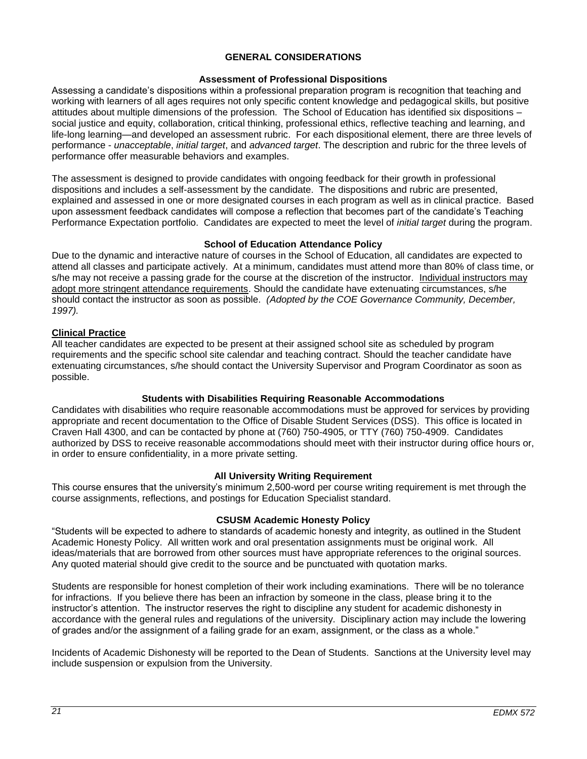### **GENERAL CONSIDERATIONS**

### **Assessment of Professional Dispositions**

<span id="page-20-1"></span><span id="page-20-0"></span>Assessing a candidate's dispositions within a professional preparation program is recognition that teaching and working with learners of all ages requires not only specific content knowledge and pedagogical skills, but positive attitudes about multiple dimensions of the profession. The School of Education has identified six dispositions – social justice and equity, collaboration, critical thinking, professional ethics, reflective teaching and learning, and life-long learning—and developed an assessment rubric. For each dispositional element, there are three levels of performance - *unacceptable*, *initial target*, and *advanced target*. The description and rubric for the three levels of performance offer measurable behaviors and examples.

The assessment is designed to provide candidates with ongoing feedback for their growth in professional dispositions and includes a self-assessment by the candidate. The dispositions and rubric are presented, explained and assessed in one or more designated courses in each program as well as in clinical practice. Based upon assessment feedback candidates will compose a reflection that becomes part of the candidate's Teaching Performance Expectation portfolio. Candidates are expected to meet the level of *initial target* during the program.

### **School of Education Attendance Policy**

<span id="page-20-2"></span>Due to the dynamic and interactive nature of courses in the School of Education, all candidates are expected to attend all classes and participate actively. At a minimum, candidates must attend more than 80% of class time, or s/he may not receive a passing grade for the course at the discretion of the instructor. Individual instructors may adopt more stringent attendance requirements. Should the candidate have extenuating circumstances, s/he should contact the instructor as soon as possible. *(Adopted by the COE Governance Community, December, 1997).*

### <span id="page-20-3"></span>**Clinical Practice**

All teacher candidates are expected to be present at their assigned school site as scheduled by program requirements and the specific school site calendar and teaching contract. Should the teacher candidate have extenuating circumstances, s/he should contact the University Supervisor and Program Coordinator as soon as possible.

### **Students with Disabilities Requiring Reasonable Accommodations**

<span id="page-20-4"></span>Candidates with disabilities who require reasonable accommodations must be approved for services by providing appropriate and recent documentation to the Office of Disable Student Services (DSS). This office is located in Craven Hall 4300, and can be contacted by phone at (760) 750-4905, or TTY (760) 750-4909. Candidates authorized by DSS to receive reasonable accommodations should meet with their instructor during office hours or, in order to ensure confidentiality, in a more private setting.

### **All University Writing Requirement**

<span id="page-20-5"></span>This course ensures that the university's minimum 2,500-word per course writing requirement is met through the course assignments, reflections, and postings for Education Specialist standard.

### **CSUSM Academic Honesty Policy**

<span id="page-20-6"></span>"Students will be expected to adhere to standards of academic honesty and integrity, as outlined in the Student Academic Honesty Policy. All written work and oral presentation assignments must be original work. All ideas/materials that are borrowed from other sources must have appropriate references to the original sources. Any quoted material should give credit to the source and be punctuated with quotation marks.

Students are responsible for honest completion of their work including examinations. There will be no tolerance for infractions. If you believe there has been an infraction by someone in the class, please bring it to the instructor's attention. The instructor reserves the right to discipline any student for academic dishonesty in accordance with the general rules and regulations of the university. Disciplinary action may include the lowering of grades and/or the assignment of a failing grade for an exam, assignment, or the class as a whole."

Incidents of Academic Dishonesty will be reported to the Dean of Students. Sanctions at the University level may include suspension or expulsion from the University.